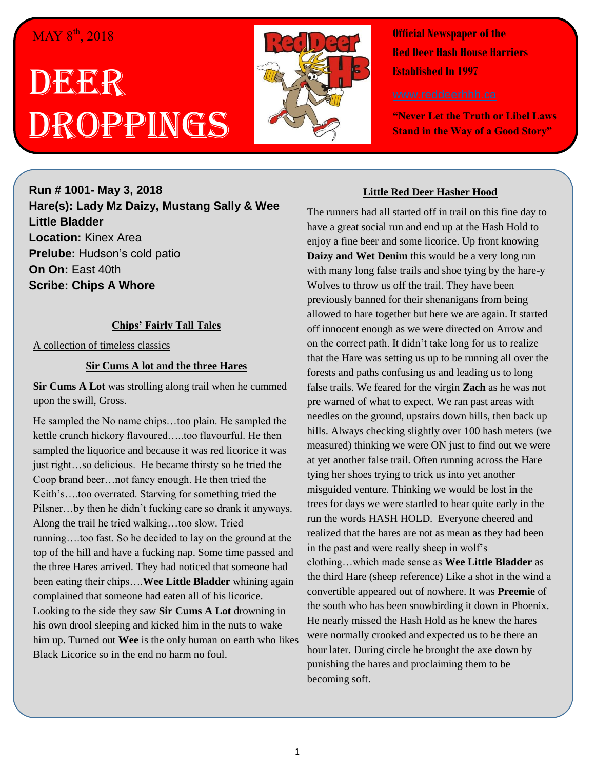## MAY  $8^{\rm th}$ , 2018

# DE<sup>e</sup>r Droppings



**Official Newspaper of the Red Deer Hash House Harriers Established In 1997** 

**"Never Let the Truth or Libel Laws Stand in the Way of a Good Story"**

**Run # 1001- May 3, 2018 Hare(s): Lady Mz Daizy, Mustang Sally & Wee Little Bladder Location:** Kinex Area **Prelube:** Hudson's cold patio **On On:** East 40th **Scribe: Chips A Whore**

#### **Chips' Fairly Tall Tales**

A collection of timeless classics

#### **Sir Cums A lot and the three Hares**

**Sir Cums A Lot** was strolling along trail when he cummed upon the swill, Gross.

He sampled the No name chips…too plain. He sampled the kettle crunch hickory flavoured…..too flavourful. He then sampled the liquorice and because it was red licorice it was just right…so delicious. He became thirsty so he tried the Coop brand beer…not fancy enough. He then tried the Keith's….too overrated. Starving for something tried the Pilsner…by then he didn't fucking care so drank it anyways. Along the trail he tried walking…too slow. Tried running….too fast. So he decided to lay on the ground at the top of the hill and have a fucking nap. Some time passed and the three Hares arrived. They had noticed that someone had been eating their chips….**Wee Little Bladder** whining again complained that someone had eaten all of his licorice. Looking to the side they saw **Sir Cums A Lot** drowning in his own drool sleeping and kicked him in the nuts to wake him up. Turned out **Wee** is the only human on earth who likes Black Licorice so in the end no harm no foul.

#### **Little Red Deer Hasher Hood**

The runners had all started off in trail on this fine day to have a great social run and end up at the Hash Hold to enjoy a fine beer and some licorice. Up front knowing **Daizy and Wet Denim** this would be a very long run with many long false trails and shoe tying by the hare-y Wolves to throw us off the trail. They have been previously banned for their shenanigans from being allowed to hare together but here we are again. It started off innocent enough as we were directed on Arrow and on the correct path. It didn't take long for us to realize that the Hare was setting us up to be running all over the forests and paths confusing us and leading us to long false trails. We feared for the virgin **Zach** as he was not pre warned of what to expect. We ran past areas with needles on the ground, upstairs down hills, then back up hills. Always checking slightly over 100 hash meters (we measured) thinking we were ON just to find out we were at yet another false trail. Often running across the Hare tying her shoes trying to trick us into yet another misguided venture. Thinking we would be lost in the trees for days we were startled to hear quite early in the run the words HASH HOLD. Everyone cheered and realized that the hares are not as mean as they had been in the past and were really sheep in wolf's clothing…which made sense as **Wee Little Bladder** as the third Hare (sheep reference) Like a shot in the wind a convertible appeared out of nowhere. It was **Preemie** of the south who has been snowbirding it down in Phoenix. He nearly missed the Hash Hold as he knew the hares were normally crooked and expected us to be there an hour later. During circle he brought the axe down by punishing the hares and proclaiming them to be becoming soft.